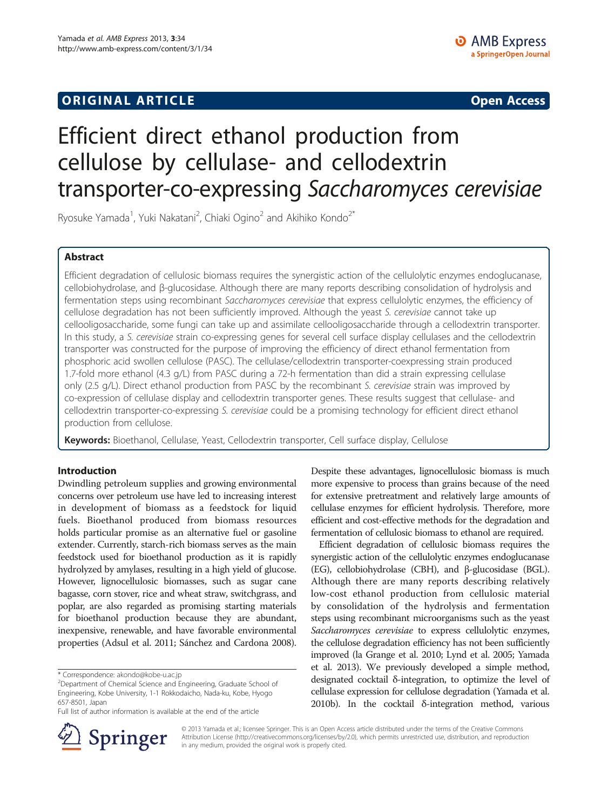## **ORIGINAL ARTICLE CONSERVERSITY OF ACCESS**

# Efficient direct ethanol production from cellulose by cellulase- and cellodextrin transporter-co-expressing Saccharomyces cerevisiae

Ryosuke Yamada<sup>1</sup>, Yuki Nakatani<sup>2</sup>, Chiaki Ogino<sup>2</sup> and Akihiko Kondo<sup>2\*</sup>

## Abstract

Efficient degradation of cellulosic biomass requires the synergistic action of the cellulolytic enzymes endoglucanase, cellobiohydrolase, and β-glucosidase. Although there are many reports describing consolidation of hydrolysis and fermentation steps using recombinant Saccharomyces cerevisiae that express cellulolytic enzymes, the efficiency of cellulose degradation has not been sufficiently improved. Although the yeast S. cerevisiae cannot take up cellooligosaccharide, some fungi can take up and assimilate cellooligosaccharide through a cellodextrin transporter. In this study, a S. cerevisiae strain co-expressing genes for several cell surface display cellulases and the cellodextrin transporter was constructed for the purpose of improving the efficiency of direct ethanol fermentation from phosphoric acid swollen cellulose (PASC). The cellulase/cellodextrin transporter-coexpressing strain produced 1.7-fold more ethanol (4.3 g/L) from PASC during a 72-h fermentation than did a strain expressing cellulase only (2.5 g/L). Direct ethanol production from PASC by the recombinant S. cerevisiae strain was improved by co-expression of cellulase display and cellodextrin transporter genes. These results suggest that cellulase- and cellodextrin transporter-co-expressing S. cerevisiae could be a promising technology for efficient direct ethanol production from cellulose.

Keywords: Bioethanol, Cellulase, Yeast, Cellodextrin transporter, Cell surface display, Cellulose

#### Introduction

Dwindling petroleum supplies and growing environmental concerns over petroleum use have led to increasing interest in development of biomass as a feedstock for liquid fuels. Bioethanol produced from biomass resources holds particular promise as an alternative fuel or gasoline extender. Currently, starch-rich biomass serves as the main feedstock used for bioethanol production as it is rapidly hydrolyzed by amylases, resulting in a high yield of glucose. However, lignocellulosic biomasses, such as sugar cane bagasse, corn stover, rice and wheat straw, switchgrass, and poplar, are also regarded as promising starting materials for bioethanol production because they are abundant, inexpensive, renewable, and have favorable environmental properties (Adsul et al. [2011;](#page-5-0) Sánchez and Cardona [2008](#page-5-0)).



Efficient degradation of cellulosic biomass requires the synergistic action of the cellulolytic enzymes endoglucanase (EG), cellobiohydrolase (CBH), and β-glucosidase (BGL). Although there are many reports describing relatively low-cost ethanol production from cellulosic material by consolidation of the hydrolysis and fermentation steps using recombinant microorganisms such as the yeast Saccharomyces cerevisiae to express cellulolytic enzymes, the cellulose degradation efficiency has not been sufficiently improved (la Grange et al. [2010](#page-5-0); Lynd et al. [2005](#page-5-0); Yamada et al. [2013](#page-6-0)). We previously developed a simple method, designated cocktail δ-integration, to optimize the level of cellulase expression for cellulose degradation (Yamada et al. [2010b\)](#page-6-0). In the cocktail δ-integration method, various



© 2013 Yamada et al.; licensee Springer. This is an Open Access article distributed under the terms of the Creative Commons Attribution License [\(http://creativecommons.org/licenses/by/2.0\)](http://creativecommons.org/licenses/by/2.0), which permits unrestricted use, distribution, and reproduction in any medium, provided the original work is properly cited.

<sup>\*</sup> Correspondence: [akondo@kobe-u.ac.jp](mailto:akondo@kobe-u.ac.jp) <sup>2</sup>

Department of Chemical Science and Engineering, Graduate School of Engineering, Kobe University, 1-1 Rokkodaicho, Nada-ku, Kobe, Hyogo 657-8501, Japan

Full list of author information is available at the end of the article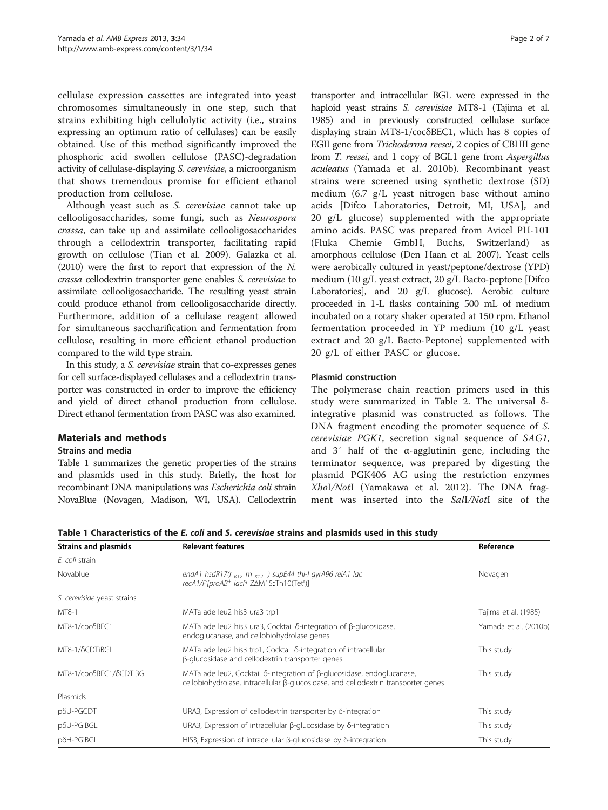cellulase expression cassettes are integrated into yeast chromosomes simultaneously in one step, such that strains exhibiting high cellulolytic activity (i.e., strains expressing an optimum ratio of cellulases) can be easily obtained. Use of this method significantly improved the phosphoric acid swollen cellulose (PASC)-degradation activity of cellulase-displaying S. cerevisiae, a microorganism that shows tremendous promise for efficient ethanol production from cellulose.

Although yeast such as S. cerevisiae cannot take up cellooligosaccharides, some fungi, such as Neurospora crassa, can take up and assimilate cellooligosaccharides through a cellodextrin transporter, facilitating rapid growth on cellulose (Tian et al. [2009\)](#page-6-0). Galazka et al. ([2010\)](#page-5-0) were the first to report that expression of the N. crassa cellodextrin transporter gene enables S. cerevisiae to assimilate cellooligosaccharide. The resulting yeast strain could produce ethanol from cellooligosaccharide directly. Furthermore, addition of a cellulase reagent allowed for simultaneous saccharification and fermentation from cellulose, resulting in more efficient ethanol production compared to the wild type strain.

In this study, a S. cerevisiae strain that co-expresses genes for cell surface-displayed cellulases and a cellodextrin transporter was constructed in order to improve the efficiency and yield of direct ethanol production from cellulose. Direct ethanol fermentation from PASC was also examined.

#### Materials and methods

#### Strains and media

Table 1 summarizes the genetic properties of the strains and plasmids used in this study. Briefly, the host for recombinant DNA manipulations was Escherichia coli strain NovaBlue (Novagen, Madison, WI, USA). Cellodextrin

transporter and intracellular BGL were expressed in the haploid yeast strains S. cerevisiae MT8-1 (Tajima et al. [1985](#page-6-0)) and in previously constructed cellulase surface displaying strain MT8-1/cocδBEC1, which has 8 copies of EGII gene from Trichoderma reesei, 2 copies of CBHII gene from T. reesei, and 1 copy of BGL1 gene from Aspergillus aculeatus (Yamada et al. [2010b](#page-6-0)). Recombinant yeast strains were screened using synthetic dextrose (SD) medium (6.7 g/L yeast nitrogen base without amino acids [Difco Laboratories, Detroit, MI, USA], and 20 g/L glucose) supplemented with the appropriate amino acids. PASC was prepared from Avicel PH-101 (Fluka Chemie GmbH, Buchs, Switzerland) as amorphous cellulose (Den Haan et al. [2007](#page-5-0)). Yeast cells were aerobically cultured in yeast/peptone/dextrose (YPD) medium (10 g/L yeast extract, 20 g/L Bacto-peptone [Difco Laboratories], and 20 g/L glucose). Aerobic culture proceeded in 1-L flasks containing 500 mL of medium incubated on a rotary shaker operated at 150 rpm. Ethanol fermentation proceeded in YP medium (10 g/L yeast extract and 20 g/L Bacto-Peptone) supplemented with 20 g/L of either PASC or glucose.

## Plasmid construction

The polymerase chain reaction primers used in this study were summarized in Table [2.](#page-2-0) The universal δintegrative plasmid was constructed as follows. The DNA fragment encoding the promoter sequence of S. cerevisiae PGK1, secretion signal sequence of SAG1, and 3' half of the  $\alpha$ -agglutinin gene, including the terminator sequence, was prepared by digesting the plasmid PGK406 AG using the restriction enzymes XhoI/NotI (Yamakawa et al. [2012](#page-6-0)). The DNA fragment was inserted into the SalI/NotI site of the

Table 1 Characteristics of the E. coli and S. cerevisiae strains and plasmids used in this study

| <b>Strains and plasmids</b> | <b>Relevant features</b>                                                                                                                                     | Reference             |
|-----------------------------|--------------------------------------------------------------------------------------------------------------------------------------------------------------|-----------------------|
| E. coli strain              |                                                                                                                                                              |                       |
| Novablue                    | endA1 hsdR17(r $_{K12}$ m $_{K12}$ +) supE44 thi-I gyrA96 relA1 lac<br>recA1/F'[proAB <sup>+</sup> lac  <sup>a</sup> Z∆M15::Tn10(Tet <sup>r</sup> )]         | Novagen               |
| S. cerevisiae yeast strains |                                                                                                                                                              |                       |
| MT8-1                       | MATa ade leu2 his3 ura3 trp1                                                                                                                                 | Tajima et al. (1985)  |
| MT8-1/cocδBFC1              | MATa ade leu2 his3 ura3, Cocktail $\delta$ -integration of $\beta$ -glucosidase,<br>endoglucanase, and cellobiohydrolase genes                               | Yamada et al. (2010b) |
| MT8-1/δCDTiBGL              | MATa ade leu2 his3 trp1, Cocktail δ-integration of intracellular<br>B-glucosidase and cellodextrin transporter genes                                         | This study            |
| MT8-1/cocδBEC1/δCDTiBGL     | MATa ade leu2, Cocktail δ-integration of β-glucosidase, endoglucanase,<br>cellobiohydrolase, intracellular β-glucosidase, and cellodextrin transporter genes | This study            |
| Plasmids                    |                                                                                                                                                              |                       |
| pδU-PGCDT                   | URA3, Expression of cellodextrin transporter by $\delta$ -integration                                                                                        | This study            |
| poU-PGiBGL                  | URA3, Expression of intracellular $\beta$ -glucosidase by $\delta$ -integration                                                                              | This study            |
| pδH-PGiBGL                  | HIS3, Expression of intracellular $\beta$ -glucosidase by $\delta$ -integration                                                                              | This study            |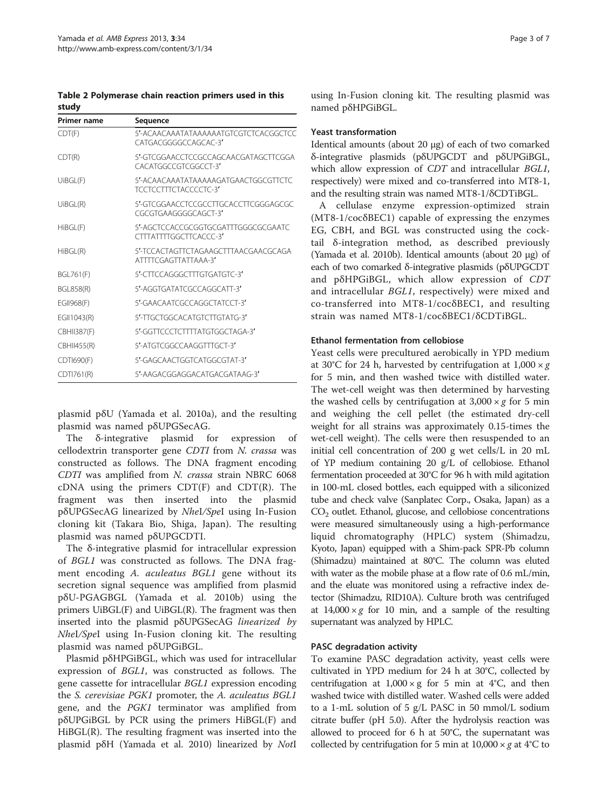<span id="page-2-0"></span>Table 2 Polymerase chain reaction primers used in this study

| <b>Primer name</b> | Sequence                                                       |  |
|--------------------|----------------------------------------------------------------|--|
| CDT(F)             | 5'-ACAACAAATATAAAAAATGTCGTCTCACGGCTCC<br>CATGACGGGGCCAGCAC-3'  |  |
| CDT(R)             | 5'-GTCGGAACCTCCGCCAGCAACGATAGCTTCGGA<br>CACATGGCCGTCGGCCT-3'   |  |
| UiBGL(F)           | 5'-ACAACAAATATAAAAAAGATGAACTGGCGTTCTC<br>TCCTCCTTTCTACCCCTC-3' |  |
| UiBGL(R)           | 5'-GTCGGAACCTCCGCCTTGCACCTTCGGGAGCGC<br>CGCGTGAAGGGGCAGCT-3'   |  |
| HiBGL(F)           | 5'-AGCTCCACCGCGGTGCGATTTGGGCGCGAATC<br>CITTATITIGGCTTCACCC-3'  |  |
| HiBGL(R)           | 5'-TCCACTAGTTCTAGAAGCTTTAACGAACGCAGA<br>ATTTTCGAGTTATTAAA-3'   |  |
| <b>BGL761(F)</b>   | 5'-CITCCAGGGCITTGTGATGTC-3'                                    |  |
| <b>BGL858(R)</b>   | 5'-AGGTGATATCGCCAGGCATT-3'                                     |  |
| EGII968(F)         | 5'-GAACAATCGCCAGGCTATCCT-3'                                    |  |
| EGII1043(R)        | 5'-TTGCTGGCACATGTCTTGTATG-3'                                   |  |
| <b>CBHII387(F)</b> | 5'-GGTTCCCTCTTTTATGTGGCTAGA-3'                                 |  |
| CBHII455(R)        | 5'-ATGTCGGCCAAGGTTTGCT-3'                                      |  |
| CDTI690(F)         | 5'-GAGCAACTGGTCATGGCGTAT-3'                                    |  |
| CDTI761(R)         | 5'-AAGACGGAGGACATGACGATAAG-3'                                  |  |
|                    |                                                                |  |

plasmid pδU (Yamada et al. [2010a\)](#page-6-0), and the resulting plasmid was named pδUPGSecAG.

The δ-integrative plasmid for expression of cellodextrin transporter gene CDTI from N. crassa was constructed as follows. The DNA fragment encoding CDTI was amplified from N. crassa strain NBRC 6068 cDNA using the primers  $CDT(F)$  and  $CDT(R)$ . The fragment was then inserted into the plasmid pδUPGSecAG linearized by NheI/SpeI using In-Fusion cloning kit (Takara Bio, Shiga, Japan). The resulting plasmid was named pδUPGCDTI.

The δ-integrative plasmid for intracellular expression of BGL1 was constructed as follows. The DNA fragment encoding A. aculeatus BGL1 gene without its secretion signal sequence was amplified from plasmid pδU-PGAGBGL (Yamada et al. [2010b\)](#page-6-0) using the primers UiBGL(F) and UiBGL(R). The fragment was then inserted into the plasmid pδUPGSecAG linearized by NheI/SpeI using In-Fusion cloning kit. The resulting plasmid was named pδUPGiBGL.

Plasmid pδHPGiBGL, which was used for intracellular expression of BGL1, was constructed as follows. The gene cassette for intracellular BGL1 expression encoding the S. cerevisiae PGK1 promoter, the A. aculeatus BGL1 gene, and the PGK1 terminator was amplified from pδUPGiBGL by PCR using the primers HiBGL(F) and HiBGL(R). The resulting fragment was inserted into the plasmid pδH (Yamada et al. [2010](#page-6-0)) linearized by NotI using In-Fusion cloning kit. The resulting plasmid was named pδHPGiBGL.

#### Yeast transformation

Identical amounts (about 20 μg) of each of two comarked δ-integrative plasmids (pδUPGCDT and pδUPGiBGL, which allow expression of CDT and intracellular BGL1, respectively) were mixed and co-transferred into MT8-1, and the resulting strain was named MT8-1/δCDTiBGL.

A cellulase enzyme expression-optimized strain (MT8-1/cocδBEC1) capable of expressing the enzymes EG, CBH, and BGL was constructed using the cocktail δ-integration method, as described previously (Yamada et al. [2010b](#page-6-0)). Identical amounts (about 20 μg) of each of two comarked δ-integrative plasmids (pδUPGCDT and pδHPGiBGL, which allow expression of CDT and intracellular BGL1, respectively) were mixed and co-transferred into MT8-1/cocδBEC1, and resulting strain was named MT8-1/cocδBEC1/δCDTiBGL.

#### Ethanol fermentation from cellobiose

Yeast cells were precultured aerobically in YPD medium at 30°C for 24 h, harvested by centrifugation at  $1,000 \times g$ for 5 min, and then washed twice with distilled water. The wet-cell weight was then determined by harvesting the washed cells by centrifugation at  $3,000 \times g$  for 5 min and weighing the cell pellet (the estimated dry-cell weight for all strains was approximately 0.15-times the wet-cell weight). The cells were then resuspended to an initial cell concentration of 200 g wet cells/L in 20 mL of YP medium containing 20 g/L of cellobiose. Ethanol fermentation proceeded at 30°C for 96 h with mild agitation in 100-mL closed bottles, each equipped with a siliconized tube and check valve (Sanplatec Corp., Osaka, Japan) as a  $CO<sub>2</sub>$  outlet. Ethanol, glucose, and cellobiose concentrations were measured simultaneously using a high-performance liquid chromatography (HPLC) system (Shimadzu, Kyoto, Japan) equipped with a Shim-pack SPR-Pb column (Shimadzu) maintained at 80°C. The column was eluted with water as the mobile phase at a flow rate of 0.6 mL/min, and the eluate was monitored using a refractive index detector (Shimadzu, RID10A). Culture broth was centrifuged at  $14,000 \times g$  for 10 min, and a sample of the resulting supernatant was analyzed by HPLC.

#### PASC degradation activity

To examine PASC degradation activity, yeast cells were cultivated in YPD medium for 24 h at 30°C, collected by centrifugation at  $1,000 \times g$  for 5 min at 4°C, and then washed twice with distilled water. Washed cells were added to a 1-mL solution of 5 g/L PASC in 50 mmol/L sodium citrate buffer (pH 5.0). After the hydrolysis reaction was allowed to proceed for 6 h at 50°C, the supernatant was collected by centrifugation for 5 min at  $10,000 \times g$  at  $4^{\circ}$ C to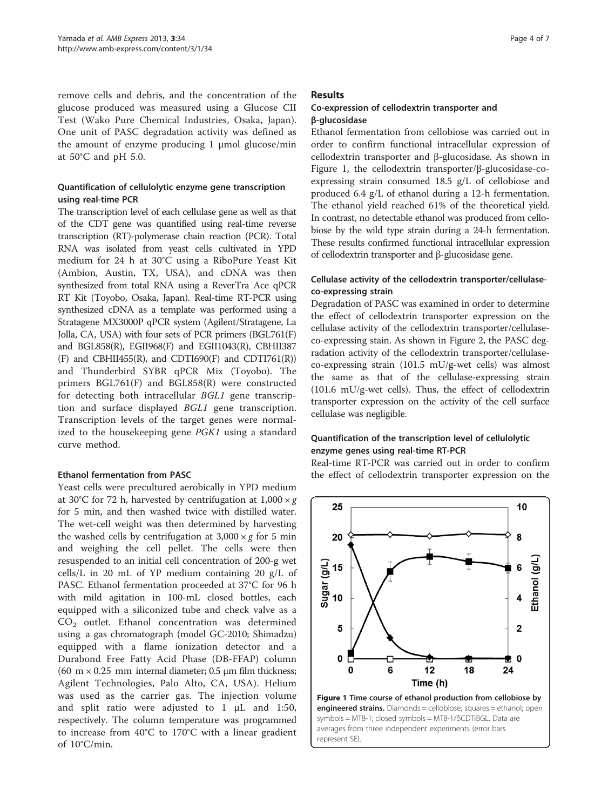remove cells and debris, and the concentration of the glucose produced was measured using a Glucose CII Test (Wako Pure Chemical Industries, Osaka, Japan). One unit of PASC degradation activity was defined as the amount of enzyme producing 1 μmol glucose/min at 50°C and pH 5.0.

#### Quantification of cellulolytic enzyme gene transcription using real-time PCR

The transcription level of each cellulase gene as well as that of the CDT gene was quantified using real-time reverse transcription (RT)-polymerase chain reaction (PCR). Total RNA was isolated from yeast cells cultivated in YPD medium for 24 h at 30°C using a RiboPure Yeast Kit (Ambion, Austin, TX, USA), and cDNA was then synthesized from total RNA using a ReverTra Ace qPCR RT Kit (Toyobo, Osaka, Japan). Real-time RT-PCR using synthesized cDNA as a template was performed using a Stratagene MX3000P qPCR system (Agilent/Stratagene, La Jolla, CA, USA) with four sets of PCR primers (BGL761(F) and BGL858(R), EGII968(F) and EGII1043(R), CBHII387  $(F)$  and CBHII455 $(R)$ , and CDTI690 $(F)$  and CDTI761 $(R)$ ) and Thunderbird SYBR qPCR Mix (Toyobo). The primers BGL761(F) and BGL858(R) were constructed for detecting both intracellular BGL1 gene transcription and surface displayed BGL1 gene transcription. Transcription levels of the target genes were normalized to the housekeeping gene PGK1 using a standard curve method.

#### Ethanol fermentation from PASC

Yeast cells were precultured aerobically in YPD medium at 30°C for 72 h, harvested by centrifugation at  $1,000 \times g$ for 5 min, and then washed twice with distilled water. The wet-cell weight was then determined by harvesting the washed cells by centrifugation at  $3,000 \times g$  for 5 min and weighing the cell pellet. The cells were then resuspended to an initial cell concentration of 200-g wet cells/L in 20 mL of YP medium containing 20 g/L of PASC. Ethanol fermentation proceeded at 37°C for 96 h with mild agitation in 100-mL closed bottles, each equipped with a siliconized tube and check valve as a  $CO<sub>2</sub>$  outlet. Ethanol concentration was determined using a gas chromatograph (model GC-2010; Shimadzu) equipped with a flame ionization detector and a Durabond Free Fatty Acid Phase (DB-FFAP) column (60 m  $\times$  0.25 mm internal diameter; 0.5 µm film thickness; Agilent Technologies, Palo Alto, CA, USA). Helium was used as the carrier gas. The injection volume and split ratio were adjusted to 1 μL and 1:50, respectively. The column temperature was programmed to increase from 40°C to 170°C with a linear gradient of 10°C/min.

#### Results

## Co-expression of cellodextrin transporter and β-glucosidase

Ethanol fermentation from cellobiose was carried out in order to confirm functional intracellular expression of cellodextrin transporter and β-glucosidase. As shown in Figure 1, the cellodextrin transporter/β-glucosidase-coexpressing strain consumed 18.5 g/L of cellobiose and produced 6.4 g/L of ethanol during a 12-h fermentation. The ethanol yield reached 61% of the theoretical yield. In contrast, no detectable ethanol was produced from cellobiose by the wild type strain during a 24-h fermentation. These results confirmed functional intracellular expression of cellodextrin transporter and β-glucosidase gene.

#### Cellulase activity of the cellodextrin transporter/cellulaseco-expressing strain

Degradation of PASC was examined in order to determine the effect of cellodextrin transporter expression on the cellulase activity of the cellodextrin transporter/cellulaseco-expressing stain. As shown in Figure [2,](#page-4-0) the PASC degradation activity of the cellodextrin transporter/cellulaseco-expressing strain (101.5 mU/g-wet cells) was almost the same as that of the cellulase-expressing strain (101.6 mU/g-wet cells). Thus, the effect of cellodextrin transporter expression on the activity of the cell surface cellulase was negligible.

## Quantification of the transcription level of cellulolytic enzyme genes using real-time RT-PCR

Real-time RT-PCR was carried out in order to confirm the effect of cellodextrin transporter expression on the

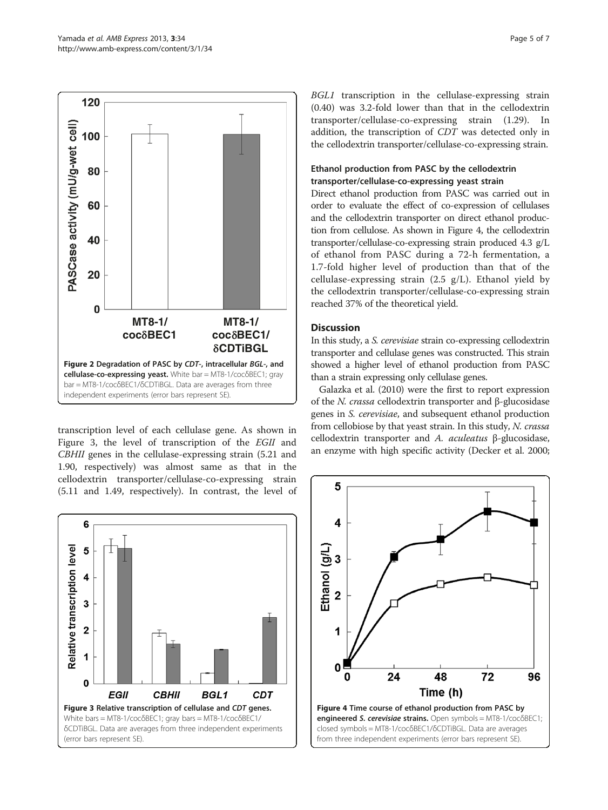<span id="page-4-0"></span>

transcription level of each cellulase gene. As shown in Figure 3, the level of transcription of the EGII and CBHII genes in the cellulase-expressing strain (5.21 and 1.90, respectively) was almost same as that in the cellodextrin transporter/cellulase-co-expressing strain (5.11 and 1.49, respectively). In contrast, the level of



BGL1 transcription in the cellulase-expressing strain (0.40) was 3.2-fold lower than that in the cellodextrin transporter/cellulase-co-expressing strain (1.29). In addition, the transcription of CDT was detected only in the cellodextrin transporter/cellulase-co-expressing strain.

## Ethanol production from PASC by the cellodextrin transporter/cellulase-co-expressing yeast strain

Direct ethanol production from PASC was carried out in order to evaluate the effect of co-expression of cellulases and the cellodextrin transporter on direct ethanol production from cellulose. As shown in Figure 4, the cellodextrin transporter/cellulase-co-expressing strain produced 4.3 g/L of ethanol from PASC during a 72-h fermentation, a 1.7-fold higher level of production than that of the cellulase-expressing strain  $(2.5 \text{ g/L})$ . Ethanol yield by the cellodextrin transporter/cellulase-co-expressing strain reached 37% of the theoretical yield.

## **Discussion**

In this study, a S. cerevisiae strain co-expressing cellodextrin transporter and cellulase genes was constructed. This strain showed a higher level of ethanol production from PASC than a strain expressing only cellulase genes.

Galazka et al. ([2010\)](#page-5-0) were the first to report expression of the N. crassa cellodextrin transporter and β-glucosidase genes in S. cerevisiae, and subsequent ethanol production from cellobiose by that yeast strain. In this study, N. crassa cellodextrin transporter and A. aculeatus β-glucosidase, an enzyme with high specific activity (Decker et al. [2000](#page-5-0);

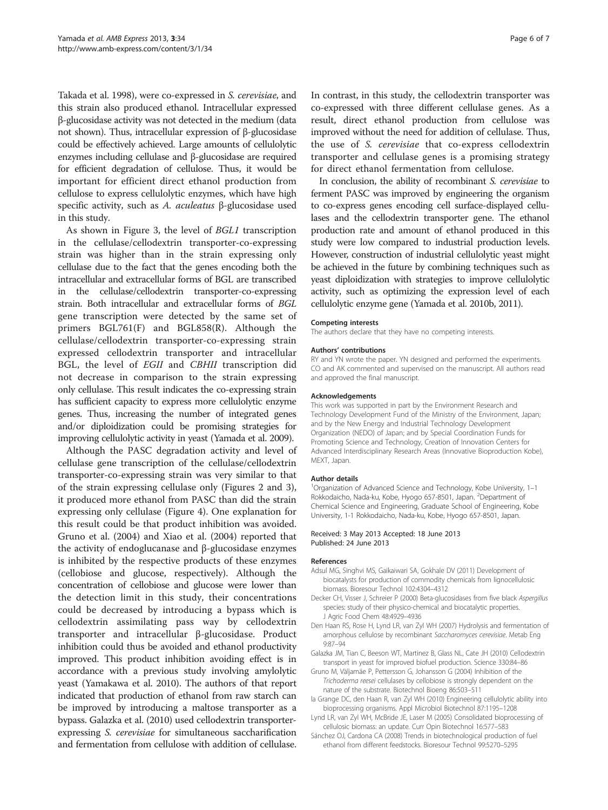<span id="page-5-0"></span>Takada et al. [1998\)](#page-6-0), were co-expressed in S. cerevisiae, and this strain also produced ethanol. Intracellular expressed β-glucosidase activity was not detected in the medium (data not shown). Thus, intracellular expression of β-glucosidase could be effectively achieved. Large amounts of cellulolytic enzymes including cellulase and β-glucosidase are required for efficient degradation of cellulose. Thus, it would be important for efficient direct ethanol production from cellulose to express cellulolytic enzymes, which have high specific activity, such as A. aculeatus β-glucosidase used in this study.

As shown in Figure [3](#page-4-0), the level of BGL1 transcription in the cellulase/cellodextrin transporter-co-expressing strain was higher than in the strain expressing only cellulase due to the fact that the genes encoding both the intracellular and extracellular forms of BGL are transcribed in the cellulase/cellodextrin transporter-co-expressing strain. Both intracellular and extracellular forms of BGL gene transcription were detected by the same set of primers BGL761(F) and BGL858(R). Although the cellulase/cellodextrin transporter-co-expressing strain expressed cellodextrin transporter and intracellular BGL, the level of EGII and CBHII transcription did not decrease in comparison to the strain expressing only cellulase. This result indicates the co-expressing strain has sufficient capacity to express more cellulolytic enzyme genes. Thus, increasing the number of integrated genes and/or diploidization could be promising strategies for improving cellulolytic activity in yeast (Yamada et al. [2009\)](#page-6-0).

Although the PASC degradation activity and level of cellulase gene transcription of the cellulase/cellodextrin transporter-co-expressing strain was very similar to that of the strain expressing cellulase only (Figures [2](#page-4-0) and [3](#page-4-0)), it produced more ethanol from PASC than did the strain expressing only cellulase (Figure [4\)](#page-4-0). One explanation for this result could be that product inhibition was avoided. Gruno et al. (2004) and Xiao et al. [\(2004](#page-6-0)) reported that the activity of endoglucanase and β-glucosidase enzymes is inhibited by the respective products of these enzymes (cellobiose and glucose, respectively). Although the concentration of cellobiose and glucose were lower than the detection limit in this study, their concentrations could be decreased by introducing a bypass which is cellodextrin assimilating pass way by cellodextrin transporter and intracellular β-glucosidase. Product inhibition could thus be avoided and ethanol productivity improved. This product inhibition avoiding effect is in accordance with a previous study involving amylolytic yeast (Yamakawa et al. [2010](#page-6-0)). The authors of that report indicated that production of ethanol from raw starch can be improved by introducing a maltose transporter as a bypass. Galazka et al. (2010) used cellodextrin transporterexpressing S. cerevisiae for simultaneous saccharification and fermentation from cellulose with addition of cellulase.

In contrast, in this study, the cellodextrin transporter was co-expressed with three different cellulase genes. As a result, direct ethanol production from cellulose was improved without the need for addition of cellulase. Thus, the use of S. cerevisiae that co-express cellodextrin transporter and cellulase genes is a promising strategy for direct ethanol fermentation from cellulose.

In conclusion, the ability of recombinant S. cerevisiae to ferment PASC was improved by engineering the organism to co-express genes encoding cell surface-displayed cellulases and the cellodextrin transporter gene. The ethanol production rate and amount of ethanol produced in this study were low compared to industrial production levels. However, construction of industrial cellulolytic yeast might be achieved in the future by combining techniques such as yeast diploidization with strategies to improve cellulolytic activity, such as optimizing the expression level of each cellulolytic enzyme gene (Yamada et al. [2010b, 2011\)](#page-6-0).

#### Competing interests

The authors declare that they have no competing interests.

#### Authors' contributions

RY and YN wrote the paper. YN designed and performed the experiments. CO and AK commented and supervised on the manuscript. All authors read and approved the final manuscript.

#### Acknowledgements

This work was supported in part by the Environment Research and Technology Development Fund of the Ministry of the Environment, Japan; and by the New Energy and Industrial Technology Development Organization (NEDO) of Japan; and by Special Coordination Funds for Promoting Science and Technology, Creation of Innovation Centers for Advanced Interdisciplinary Research Areas (Innovative Bioproduction Kobe), MEXT, Japan.

#### Author details

1 Organization of Advanced Science and Technology, Kobe University, 1–1 Rokkodaicho, Nada-ku, Kobe, Hyogo 657-8501, Japan. <sup>2</sup>Department of Chemical Science and Engineering, Graduate School of Engineering, Kobe University, 1-1 Rokkodaicho, Nada-ku, Kobe, Hyogo 657-8501, Japan.

#### Received: 3 May 2013 Accepted: 18 June 2013 Published: 24 June 2013

#### References

- Adsul MG, Singhvi MS, Gaikaiwari SA, Gokhale DV (2011) Development of biocatalysts for production of commodity chemicals from lignocellulosic biomass. Bioresour Technol 102:4304–4312
- Decker CH, Visser J, Schreier P (2000) Beta-glucosidases from five black Aspergillus species: study of their physico-chemical and biocatalytic properties. J Agric Food Chem 48:4929–4936
- Den Haan RS, Rose H, Lynd LR, van Zyl WH (2007) Hydrolysis and fermentation of amorphous cellulose by recombinant Saccharomyces cerevisiae. Metab Eng 9:87–94
- Galazka JM, Tian C, Beeson WT, Martinez B, Glass NL, Cate JH (2010) Cellodextrin transport in yeast for improved biofuel production. Science 330:84–86
- Gruno M, Väljamäe P, Pettersson G, Johansson G (2004) Inhibition of the Trichoderma reesei cellulases by cellobiose is strongly dependent on the nature of the substrate. Biotechnol Bioeng 86:503–511
- la Grange DC, den Haan R, van Zyl WH (2010) Engineering cellulolytic ability into bioprocessing organisms. Appl Microbiol Biotechnol 87:1195–1208
- Lynd LR, van Zyl WH, McBride JE, Laser M (2005) Consolidated bioprocessing of cellulosic biomass: an update. Curr Opin Biotechnol 16:577–583
- Sánchez OJ, Cardona CA (2008) Trends in biotechnological production of fuel ethanol from different feedstocks. Bioresour Technol 99:5270–5295